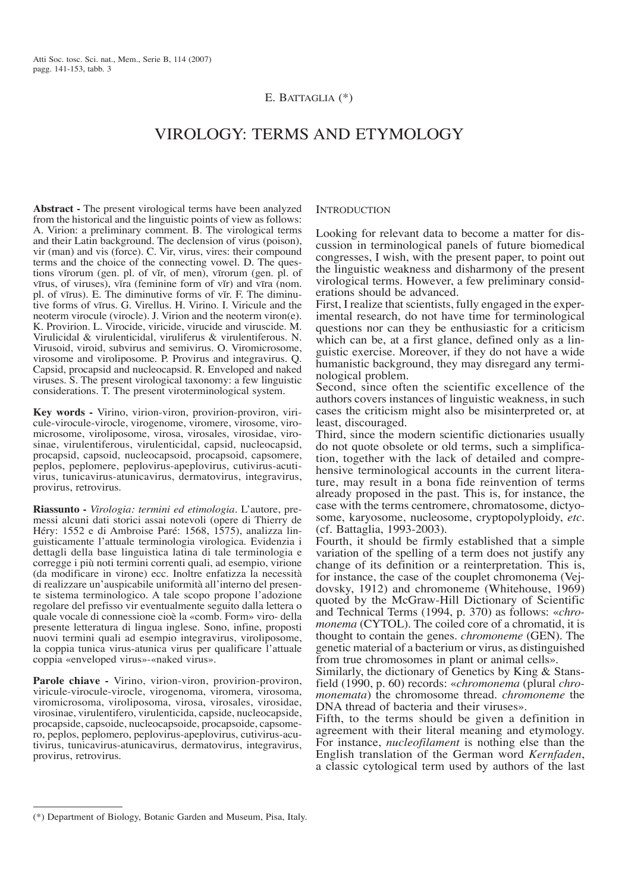### E. BATTAGLIA (\*)

# Virology: terms and etymology

**Abstract -** The present virological terms have been analyzed from the historical and the linguistic points of view as follows: A. Virion: a preliminary comment. B. The virological terms and their Latin background. The declension of virus (poison), vir (man) and vis (force). C. Vir, virus, vires: their compound terms and the choice of the connecting vowel. D. The questions virorum (gen. pl. of vir, of men), vīrorum (gen. pl. of vīrus, of viruses), vira (feminine form of vĭr) and vīra (nom. pl. of vīrus). E. The diminutive forms of vĭr. F. The diminutive forms of vīrus. G. Virellus. H. Virino. I. Viricule and the neoterm virocule (virocle). J. Virion and the neoterm viron(e). K. Provirion. L. Virocide, viricide, virucide and viruscide. M. Virulicidal & virulenticidal, viruliferus & virulentiferous. N. Virusoid, viroid, subvirus and semivirus. O. Viromicrosome, virosome and viroliposome. P. Provirus and integravirus. Q. Capsid, procapsid and nucleocapsid. R. Enveloped and naked viruses. S. The present virological taxonomy: a few linguistic considerations. T. The present viroterminological system.

**Key words -** Virino, virion-viron, provirion-proviron, viricule-virocule-virocle, virogenome, viromere, virosome, viromicrosome, viroliposome, virosa, virosales, virosidae, virosinae, virulentiferous, virulenticidal, capsid, nucleocapsid, procapsid, capsoid, nucleocapsoid, procapsoid, capsomere, peplos, peplomere, peplovirus-apeplovirus, cutivirus-acutivirus, tunicavirus-atunicavirus, dermatovirus, integravirus, provirus, retrovirus.

**Riassunto -** *Virologia: termini ed etimologia*. L'autore, premessi alcuni dati storici assai notevoli (opere di Thierry de Héry: 1552 e di Ambroise Paré: 1568, 1575), analizza linguisticamente l'attuale terminologia virologica. Evidenzia i dettagli della base linguistica latina di tale terminologia e corregge i più noti termini correnti quali, ad esempio, virione (da modificare in virone) ecc. Inoltre enfatizza la necessità di realizzare un'auspicabile uniformità all'interno del presente sistema terminologico. A tale scopo propone l'adozione regolare del prefisso vir eventualmente seguito dalla lettera o quale vocale di connessione cioè la «comb. Form» viro- della presente letteratura di lingua inglese. Sono, infine, proposti nuovi termini quali ad esempio integravirus, viroliposome, la coppia tunica virus-atunica virus per qualificare l'attuale coppia «enveloped virus»-«naked virus».

**Parole chiave -** Virino, virion-viron, provirion-proviron, viricule-virocule-virocle, virogenoma, viromera, virosoma, viromicrosoma, viroliposoma, virosa, virosales, virosidae, virosinae, virulentifero, virulenticida, capside, nucleocapside, procapside, capsoide, nucleocapsoide, procapsoide, capsomero, peplos, peplomero, peplovirus-apeplovirus, cutivirus-acutivirus, tunicavirus-atunicavirus, dermatovirus, integravirus, provirus, retrovirus.

#### **INTRODUCTION**

Looking for relevant data to become a matter for discussion in terminological panels of future biomedical congresses, I wish, with the present paper, to point out the linguistic weakness and disharmony of the present virological terms. However, a few preliminary considerations should be advanced.

First, I realize that scientists, fully engaged in the experimental research, do not have time for terminological questions nor can they be enthusiastic for a criticism which can be, at a first glance, defined only as a linguistic exercise. Moreover, if they do not have a wide humanistic background, they may disregard any terminological problem.

Second, since often the scientific excellence of the authors covers instances of linguistic weakness, in such cases the criticism might also be misinterpreted or, at least, discouraged.

Third, since the modern scientific dictionaries usually do not quote obsolete or old terms, such a simplification, together with the lack of detailed and comprehensive terminological accounts in the current literature, may result in a bona fide reinvention of terms already proposed in the past. This is, for instance, the case with the terms centromere, chromatosome, dictyosome, karyosome, nucleosome, cryptopolyploidy, *etc.* (cf. Battaglia, 1993-2003).

Fourth, it should be firmly established that a simple variation of the spelling of a term does not justify any change of its definition or a reinterpretation. This is, for instance, the case of the couplet chromonema (Vejdovsky, 1912) and chromoneme (Whitehouse, 1969) quoted by the McGraw-Hill Dictionary of Scientific and Technical Terms (1994, p. 370) as follows: «*chromonema* (CYTOL). The coiled core of a chromatid, it is thought to contain the genes. *chromoneme* (GEN). The genetic material of a bacterium or virus, as distinguished from true chromosomes in plant or animal cells».

Similarly, the dictionary of Genetics by King & Stansfield (1990, p. 60) records: «*chromonema* (plural *chromonemata*) the chromosome thread. *chromoneme* the DNA thread of bacteria and their viruses».

Fifth, to the terms should be given a definition in agreement with their literal meaning and etymology. For instance, *nucleofilament* is nothing else than the English translation of the German word *Kernfaden*, a classic cytological term used by authors of the last

<sup>(\*)</sup> Department of Biology, Botanic Garden and Museum, Pisa, Italy.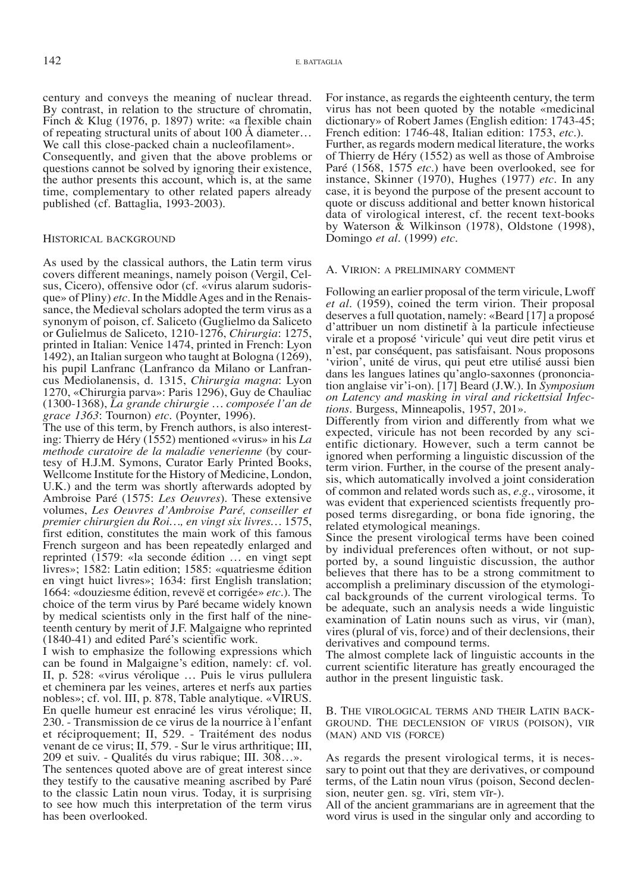century and conveys the meaning of nuclear thread. By contrast, in relation to the structure of chromatin, Finch & Klug (1976, p. 1897) write: «a flexible chain of repeating structural units of about 100 Å diameter… We call this close-packed chain a nucleofilament». Consequently, and given that the above problems or

questions cannot be solved by ignoring their existence, the author presents this account, which is, at the same time, complementary to other related papers already published (cf. Battaglia, 1993-2003).

#### Historical background

As used by the classical authors, the Latin term virus covers different meanings, namely poison (Vergil, Celsus, Cicero), offensive odor (cf. «virus alarum sudorisque» of Pliny) *etc.* In the Middle Ages and in the Renaissance, the Medieval scholars adopted the term virus as a synonym of poison, cf. Saliceto (Guglielmo da Saliceto or Gulielmus de Saliceto, 1210-1276, *Chirurgia*: 1275, printed in Italian: Venice 1474, printed in French: Lyon 1492), an Italian surgeon who taught at Bologna (1269), his pupil Lanfranc (Lanfranco da Milano or Lanfrancus Mediolanensis, d. 1315, *Chirurgia magna*: Lyon 1270, «Chirurgia parva»: Paris 1296), Guy de Chauliac (1300-1368), *La grande chirurgie … composée l'an de grace 1363*: Tournon) *etc.* (Poynter, 1996).

The use of this term, by French authors, is also interesting: Thierry de Héry (1552) mentioned «virus» in his *La methode curatoire de la maladie venerienne* (by courtesy of H.J.M. Symons, Curator Early Printed Books, Wellcome Institute for the History of Medicine, London, U.K.) and the term was shortly afterwards adopted by Ambroise Paré (1575: *Les Oeuvres*). These extensive volumes, *Les Oeuvres d'Ambroise Paré, conseiller et premier chirurgien du Roi…, en vingt six livres…* 1575, first edition, constitutes the main work of this famous French surgeon and has been repeatedly enlarged and reprinted (1579: «la seconde édition … en vingt sept livres»; 1582: Latin edition; 1585: «quatriesme édition en vingt huict livres»; 1634: first English translation; 1664: «douziesme édition, revevë et corrigée» *etc.*). The choice of the term virus by Paré became widely known by medical scientists only in the first half of the nineteenth century by merit of J.F. Malgaigne who reprinted (1840-41) and edited Paré's scientific work.

I wish to emphasize the following expressions which can be found in Malgaigne's edition, namely: cf. vol. II, p. 528: «virus vérolique … Puis le virus pullulera et cheminera par les veines, arteres et nerfs aux parties nobles»; cf. vol. III, p. 878, Table analytique. «VIRUS. En quelle humeur est enraciné les virus vérolique; II, 230. - Transmission de ce virus de la nourrice à l'enfant et réciproquement; II, 529. - Traitément des nodus venant de ce virus; II, 579. - Sur le virus arthritique; III, 209 et suiv. - Qualités du virus rabique; III. 308…».

The sentences quoted above are of great interest since they testify to the causative meaning ascribed by Paré to the classic Latin noun virus. Today, it is surprising to see how much this interpretation of the term virus has been overlooked.

For instance, as regards the eighteenth century, the term virus has not been quoted by the notable «medicinal dictionary» of Robert James (English edition: 1743-45; French edition: 1746-48, Italian edition: 1753, *etc.*). Further, as regards modern medical literature, the works of Thierry de Héry (1552) as well as those of Ambroise Paré (1568, 1575 *etc.*) have been overlooked, see for instance, Skinner (1970), Hughes (1977) *etc.* In any case, it is beyond the purpose of the present account to quote or discuss additional and better known historical data of virological interest, cf. the recent text-books by Waterson & Wilkinson (1978), Oldstone (1998), Domingo *et al.* (1999) *etc.*

#### A. Virion: a preliminary comment

Following an earlier proposal of the term viricule, Lwoff *et al.* (1959), coined the term virion. Their proposal deserves a full quotation, namely: «Beard [17] a proposé d'attribuer un nom distinetif à la particule infectieuse virale et a proposé 'viricule' qui veut dire petit virus et n'est, par conséquent, pas satisfaisant. Nous proposons 'virion', unité de virus, qui peut etre utilisé aussi bien dans les langues latines qu'anglo-saxonnes (prononciation anglaise vir'i-on). [17] Beard (J.W.). In *Symposium on Latency and masking in viral and rickettsial Infections.* Burgess, Minneapolis, 1957, 201».

Differently from virion and differently from what we expected, viricule has not been recorded by any scientific dictionary. However, such a term cannot be ignored when performing a linguistic discussion of the term virion. Further, in the course of the present analysis, which automatically involved a joint consideration of common and related words such as, *e.g.*, virosome, it was evident that experienced scientists frequently proposed terms disregarding, or bona fide ignoring, the related etymological meanings.

Since the present virological terms have been coined by individual preferences often without, or not supported by, a sound linguistic discussion, the author believes that there has to be a strong commitment to accomplish a preliminary discussion of the etymological backgrounds of the current virological terms. To be adequate, such an analysis needs a wide linguistic examination of Latin nouns such as virus, vir (man), vires (plural of vis, force) and of their declensions, their derivatives and compound terms.

The almost complete lack of linguistic accounts in the current scientific literature has greatly encouraged the author in the present linguistic task.

B. The virological terms and their Latin background. The declension of virus (poison), vir (man) and vis (force)

As regards the present virological terms, it is necessary to point out that they are derivatives, or compound terms, of the Latin noun vīrus (poison, Second declension, neuter gen. sg. vīri, stem vīr-).

All of the ancient grammarians are in agreement that the word virus is used in the singular only and according to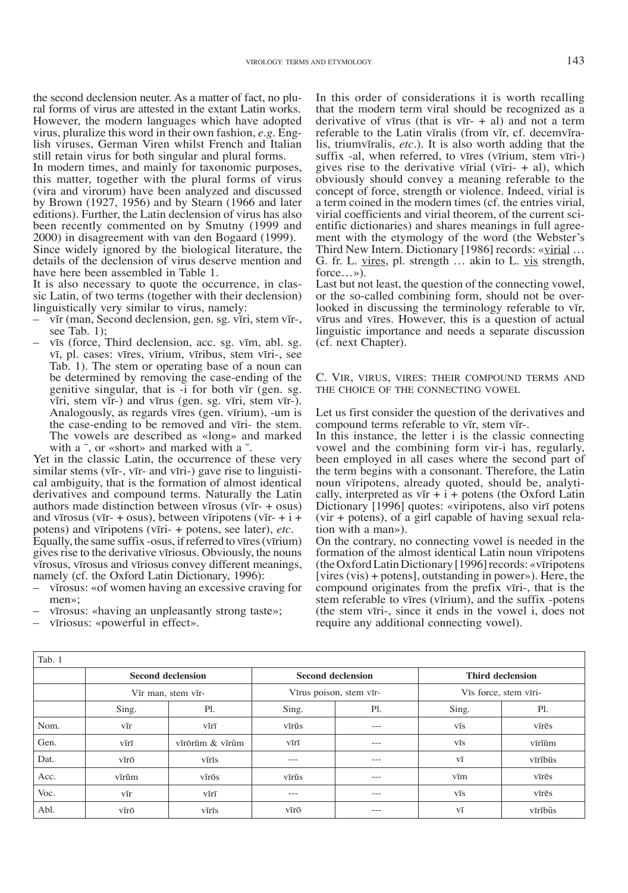the second declension neuter. As a matter of fact, no plu- ral forms of virus are attested in the extant Latin works. However, the modern languages which have adopted virus, pluralize this word in their own fashion,  $e.g.$  English viruses, German Viren whilst French and Italian still retain virus for both singular and plural forms.

In modern times, and mainly for taxonomic purposes, this matter, together with the plural forms of virus (vira and virorum) have been analyzed and discussed by Brown (1927, 1956) and by Stearn (1966 and later editions). Further, the Latin declension of virus has also been recently commented on by Smutny (1999 and 2000) in disagreement with van den Bogaard (1999). Since widely ignored by the biological literature, the details of the declension of virus deserve mention and have here been assembled in Table 1.

It is also necessary to quote the occurrence, in classic Latin, of two terms (together with their declension) linguistically very similar to virus, namely:

- vĭr (man, Second declension, gen. sg. vĬri, stem vĭr-, see Tab. 1);
- vīs (force, Third declension, acc. sg. vīm, abl. sg. vī, pl. cases: vīres, vīrium, vīribus, stem vīri-, see Tab. 1). The stem or operating base of a noun can be determined by removing the case-ending of the genitive singular, that is -i for both vir (gen. sg. viri, stem vir-) and vīrus (gen. sg. vīri, stem vīr-). Analogously, as regards vīres (gen. vīrium), -um is the case-ending to be removed and vīri- the stem. The vowels are described as «long» and marked with a <sup>-</sup>, or «short» and marked with a  $\check{\,}$ .

Yet in the classic Latin, the occurrence of these very similar stems (vĭr-, vīr- and vīri-) gave rise to linguisti-<br>cal ambiguity, that is the formation of almost identical derivatives and compound terms. Naturally the Latin authors made distinction between virosus (vir-  $+$  osus) and vīrosus (vīr- + osus), between viripotens (vĭr- + i + potens) and vīripotens (vīri- + potens, see later), *etc.* Equally, the same suffix -osus, if referred to vīres (vīrium) gives rise to the derivative vīriosus. Obviously, the nouns virosus, vīrosus and vīriosus convey different meanings, namely (cf. the Oxford Latin Dictionary, 1996):

- virosus: «of women having an excessive craving for men»;
- vīrosus: «having an unpleasantly strong taste»;

– vīriosus: «powerful in effect».

In this order of considerations it is worth recalling that the modern term viral should be recognized as a derivative of vīrus (that is  $vI - + aI$ ) and not a term referable to the Latin vĭralis (from vĭr, cf. decemvĭra-<br>lis, triumvĭralis, *etc.*). It is also worth adding that the suffix -al, when referred, to vīres (vīrium, stem vīri-) gives rise to the derivative vīrial (vīri-  $+$  al), which obviously should convey a meaning referable to the concept of force, strength or violence. Indeed, virial is a term coined in the modern times (cf. the entries virial, virial coefficients and virial theorem, of the current scientific dictionaries) and shares meanings in full agreement with the etymology of the word (the Webster's Third New Intern. Dictionary [1986] records: «virial ... G. fr. L. vires, pl. strength … akin to L. vis strength, force…»).

Last but not least, the question of the connecting vowel, or the so-called combining form, should not be overlooked in discussing the terminology referable to vĭr, vīrus and vīres. However, this is a question of actual linguistic importance and needs a separate discussion (cf. next Chapter).

C. Vir, virus, vires: their compound terms and the choice of the connecting vowel

Let us first consider the question of the derivatives and compound terms referable to vir, stem vir-.

In this instance, the letter i is the classic connecting vowel and the combining form vir-i has, regularly, been employed in all cases where the second part of the term begins with a consonant. Therefore, the Latin noun viripotens, already quoted, should be, analytically, interpreted as vĭr + i + potens (the Oxford Latin Dictionary [1996] quotes: «viripotens, also virī potens (vir + potens), of a girl capable of having sexual relation with a man»).

On the contrary, no connecting vowel is needed in the formation of the almost identical Latin noun vīripotens (the Oxford Latin Dictionary [1996] records: «vīripotens [vires (vis) + potens], outstanding in power»). Here, the compound originates from the prefix vīri-, that is the stem referable to vīres (vīrium), and the suffix -potens (the stem vīri-, since it ends in the vowel i, does not require any additional connecting vowel).

| Tab. 1 |                          |                 |                          |                                                                                                                                                                                                                                                                                                                                                                                                                                                                            |                         |         |  |  |
|--------|--------------------------|-----------------|--------------------------|----------------------------------------------------------------------------------------------------------------------------------------------------------------------------------------------------------------------------------------------------------------------------------------------------------------------------------------------------------------------------------------------------------------------------------------------------------------------------|-------------------------|---------|--|--|
|        | <b>Second declension</b> |                 | <b>Second declension</b> |                                                                                                                                                                                                                                                                                                                                                                                                                                                                            | <b>Third declension</b> |         |  |  |
|        | Vir man, stem vir-       |                 | Vīrus poison, stem vīr-  |                                                                                                                                                                                                                                                                                                                                                                                                                                                                            | Vīs force, stem vīri-   |         |  |  |
|        | Sing.                    | P1.             | Sing.                    | P1.                                                                                                                                                                                                                                                                                                                                                                                                                                                                        | Sing.                   | Pl.     |  |  |
| Nom.   | vĭr                      | vĭrī            | vīrŭs                    | $\frac{1}{2} \left( \frac{1}{2} \right) \left( \frac{1}{2} \right) \left( \frac{1}{2} \right) \left( \frac{1}{2} \right) \left( \frac{1}{2} \right) \left( \frac{1}{2} \right) \left( \frac{1}{2} \right) \left( \frac{1}{2} \right) \left( \frac{1}{2} \right) \left( \frac{1}{2} \right) \left( \frac{1}{2} \right) \left( \frac{1}{2} \right) \left( \frac{1}{2} \right) \left( \frac{1}{2} \right) \left( \frac{1}{2} \right) \left( \frac{1}{2} \right) \left( \frac$ | VĪS                     | vīrēs   |  |  |
| Gen.   | vĭrī                     | vírōrŭm & vírûm | vīrī                     | $---$                                                                                                                                                                                                                                                                                                                                                                                                                                                                      | VĪS                     | vīrĭŭm  |  |  |
| Dat.   | vĭrō                     | vĭrīs           | $\qquad \qquad -$        | $---$                                                                                                                                                                                                                                                                                                                                                                                                                                                                      | $V\overline{1}$         | vīrībus |  |  |
| Acc.   | vĭrŭm                    | vĭrōs           | vīrŭs                    | $---$                                                                                                                                                                                                                                                                                                                                                                                                                                                                      | vīm                     | vīrēs   |  |  |
| Voc.   | vĭr                      | vĭrī            | ---                      | $- - -$                                                                                                                                                                                                                                                                                                                                                                                                                                                                    | VĪS                     | vīrēs   |  |  |
| Abl.   | vĭrō                     | vĭrīs           | vīrō                     | ---                                                                                                                                                                                                                                                                                                                                                                                                                                                                        | $V\overline{1}$         | vīrĭbūs |  |  |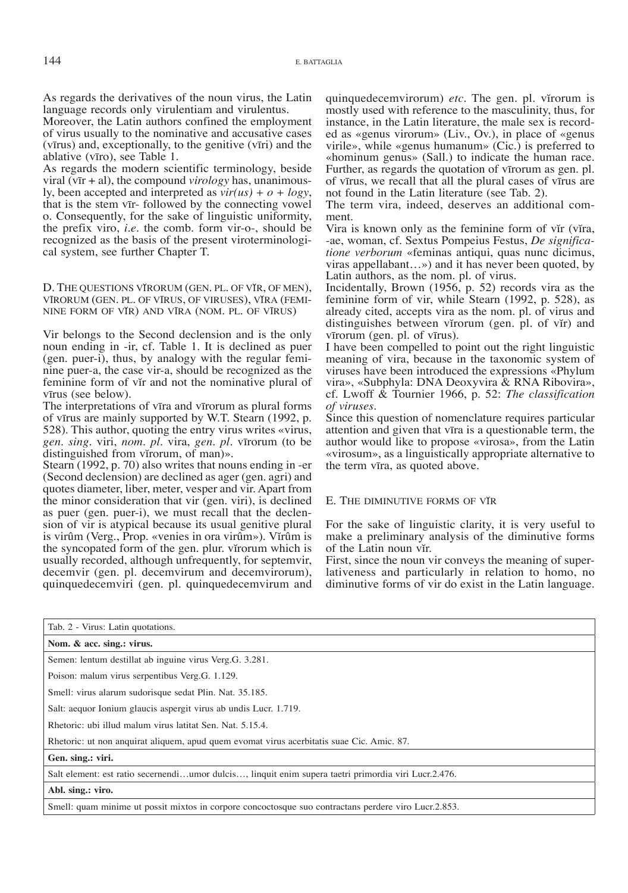As regards the derivatives of the noun virus, the Latin language records only virulentiam and virulentus.

Moreover, the Latin authors confined the employment of virus usually to the nominative and accusative cases (vīrus) and, exceptionally, to the genitive (vīri) and the ablative (vīro), see Table 1.

As regards the modern scientific terminology, beside viral (vīr + al), the compound *virology* has, unanimously, been accepted and interpreted as *vir(us) + o + logy*, that is the stem vīr- followed by the connecting vowel o. Consequently, for the sake of linguistic uniformity, the prefix viro, *i.e.* the comb. form vir-o-, should be recognized as the basis of the present viroterminological system, see further Chapter T.

D. The questions vĭrorum (gen. pl. of vĭr, of men), vīrorum (gen. pl. of vīrus, of viruses), vĭra (feminine form of vĭr) and vīra (nom. pl. of vīrus)

Vir belongs to the Second declension and is the only noun ending in -ir, cf. Table 1. It is declined as puer (gen. puer-i), thus, by analogy with the regular feminine puer-a, the case vir-a, should be recognized as the feminine form of vĭr and not the nominative plural of vīrus (see below).

The interpretations of vīra and vīrorum as plural forms of vīrus are mainly supported by W.T. Stearn (1992, p. 528). This author, quoting the entry virus writes «virus, *gen. sing.* viri, *nom. pl.* vira, *gen. pl.* vīrorum (to be distinguished from virorum, of man)».

Stearn (1992, p. 70) also writes that nouns ending in -er (Second declension) are declined as ager (gen. agri) and quotes diameter, liber, meter, vesper and vir. Apart from the minor consideration that vir (gen. viri), is declined as puer (gen. puer-i), we must recall that the declension of vir is atypical because its usual genitive plural is virûm (Verg., Prop. «venies in ora virûm»). Vĭrûm is the syncopated form of the gen. plur. virorum which is usually recorded, although unfrequently, for septemvir, decemvir (gen. pl. decemvirum and decemvirorum), quinquedecemviri (gen. pl. quinquedecemvirum and quinquedecemvirorum) *etc*. The gen. pl. virorum is mostly used with reference to the masculinity, thus, for instance, in the Latin literature, the male sex is recorded as «genus virorum» (Liv., Ov.), in place of «genus virile», while «genus humanum» (Cic.) is preferred to «hominum genus» (Sall.) to indicate the human race. Further, as regards the quotation of vīrorum as gen. pl. of vīrus, we recall that all the plural cases of vīrus are not found in the Latin literature (see Tab. 2).

The term vira, indeed, deserves an additional comment.

Vira is known only as the feminine form of vir (vira, -ae, woman, cf. Sextus Pompeius Festus, *De significatione verborum* «feminas antiqui, quas nunc dicimus, viras appellabant…») and it has never been quoted, by Latin authors, as the nom. pl. of virus.

Incidentally, Brown (1956, p. 52) records vira as the feminine form of vir, while Stearn (1992, p. 528), as already cited, accepts vira as the nom. pl. of virus and distinguishes between vĭrorum (gen. pl. of vĭr) and vīrorum (gen. pl. of vīrus).

I have been compelled to point out the right linguistic meaning of vira, because in the taxonomic system of viruses have been introduced the expressions «Phylum vira», «Subphyla: DNA Deoxyvira & RNA Ribovira», cf. Lwoff & Tournier 1966, p. 52: *The classification of viruses*.

Since this question of nomenclature requires particular attention and given that vīra is a questionable term, the author would like to propose «virosa», from the Latin «virosum», as a linguistically appropriate alternative to the term vīra, as quoted above.

#### E. The diminutive forms of vĭr

For the sake of linguistic clarity, it is very useful to make a preliminary analysis of the diminutive forms of the Latin noun vir.

First, since the noun vir conveys the meaning of superlativeness and particularly in relation to homo, no diminutive forms of vir do exist in the Latin language.

| Tab. 2 - Virus: Latin quotations.                                                                    |  |  |  |  |
|------------------------------------------------------------------------------------------------------|--|--|--|--|
| Nom. & acc. sing.: virus.                                                                            |  |  |  |  |
| Semen: lentum destillat ab inguine virus Verg. G. 3.281.                                             |  |  |  |  |
| Poison: malum virus serpentibus Verg.G. 1.129.                                                       |  |  |  |  |
| Smell: virus alarum sudorisque sedat Plin. Nat. 35.185.                                              |  |  |  |  |
| Salt: aequor Ionium glaucis aspergit virus ab undis Lucr. 1.719.                                     |  |  |  |  |
| Rhetoric: ubi illud malum virus latitat Sen. Nat. 5.15.4.                                            |  |  |  |  |
| Rhetoric: ut non anquirat aliquem, apud quem evomat virus acerbitatis suae Cic. Amic. 87.            |  |  |  |  |
| Gen. sing.: viri.                                                                                    |  |  |  |  |
| Salt element: est ratio secernendiumor dulcis, linquit enim supera taetri primordia viri Lucr.2.476. |  |  |  |  |
| Abl. sing.: viro.                                                                                    |  |  |  |  |
| Smell: quam minime ut possit mixtos in corpore concoctosque suo contractans perdere viro Lucr.2.853. |  |  |  |  |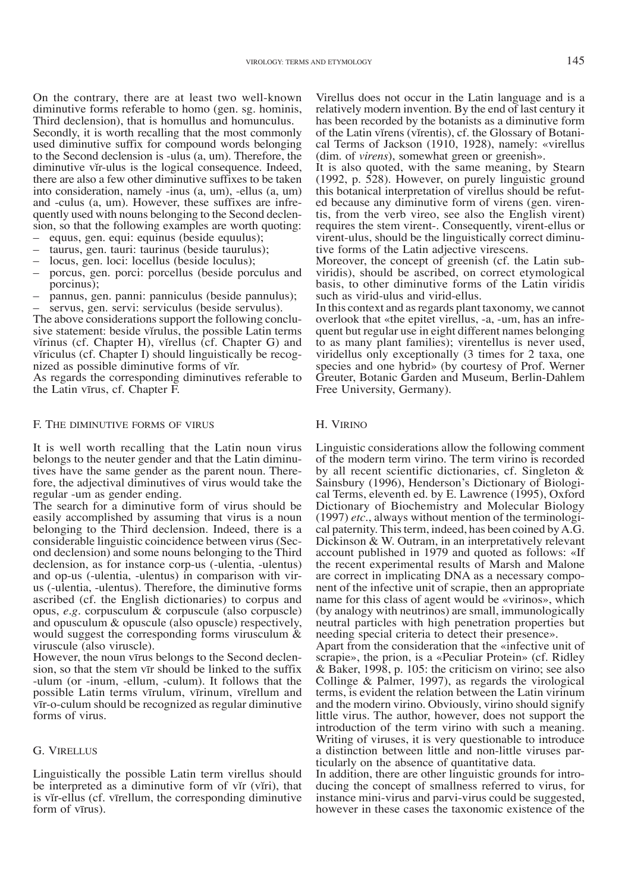On the contrary, there are at least two well-known diminutive forms referable to homo (gen. sg. hominis, Third declension), that is homullus and homunculus.

Secondly, it is worth recalling that the most commonly used diminutive suffix for compound words belonging to the Second declension is -ulus (a, um). Therefore, the diminutive vĭr-ulus is the logical consequence. Indeed, there are also a few other diminutive suffixes to be taken into consideration, namely -inus (a, um), -ellus (a, um) and -culus (a, um). However, these suffixes are infrequently used with nouns belonging to the Second declension, so that the following examples are worth quoting: – equus, gen. equi: equinus (beside equulus);

- 
- 
- 
- taurus, gen. tauri: taurinus (beside taurulus); locus, gen. loci: locellus (beside loculus); porcus, gen. porci: porcellus (beside porculus and porcinus);
- pannus, gen. panni: panniculus (beside pannulus); servus, gen. servi: serviculus (beside servulus).

The above considerations support the following conclusive statement: beside vĭrulus, the possible Latin terms virinus (cf. Chapter H), virellus (cf. Chapter G) and viriculus (cf. Chapter I) should linguistically be recognized as possible diminutive forms of vir.

As regards the corresponding diminutives referable to the Latin vīrus, cf. Chapter F.

#### F. The diminutive forms of virus

It is well worth recalling that the Latin noun virus belongs to the neuter gender and that the Latin diminutives have the same gender as the parent noun. Therefore, the adjectival diminutives of virus would take the regular -um as gender ending.

The search for a diminutive form of virus should be easily accomplished by assuming that virus is a noun belonging to the Third declension. Indeed, there is a considerable linguistic coincidence between virus (Second declension) and some nouns belonging to the Third declension, as for instance corp-us (-ulentia, -ulentus) and op-us (-ulentia, -ulentus) in comparison with virus (-ulentia, -ulentus). Therefore, the diminutive forms ascribed (cf. the English dictionaries) to corpus and opus, *e.g.* corpusculum & corpuscule (also corpuscle) and opusculum & opuscule (also opuscle) respectively, would suggest the corresponding forms virusculum & viruscule (also viruscle).

However, the noun vīrus belongs to the Second declension, so that the stem vīr should be linked to the suffix -ulum (or -inum, -ellum, -culum). It follows that the possible Latin terms vīrulum, vīrinum, vīrellum and vīr-o-culum should be recognized as regular diminutive forms of virus.

#### G. Virellus

Linguistically the possible Latin term virellus should be interpreted as a diminutive form of vir (viri), that is vir-ellus (cf. vīrellum, the corresponding diminutive form of vīrus).

Virellus does not occur in the Latin language and is a relatively modern invention. By the end of last century it has been recorded by the botanists as a diminutive form of the Latin virens (virentis), cf. the Glossary of Botanical Terms of Jackson (1910, 1928), namely: «virellus (dim. of *virens*), somewhat green or greenish».

It is also quoted, with the same meaning, by Stearn  $(1992, p. 528)$ . However, on purely linguistic ground this botanical interpretation of virellus should be refuted because any diminutive form of virens (gen. virentis, from the verb vireo, see also the English virent) requires the stem virent-. Consequently, virent-ellus or virent-ulus, should be the linguistically correct diminu- tive forms of the Latin adjective virescens.

Moreover, the concept of greenish (cf. the Latin sub-<br>viridis), should be ascribed, on correct etymological basis, to other diminutive forms of the Latin viridis such as virid-ulus and virid-ellus.

In this context and as regards plant taxonomy, we cannot overlook that «the epitet virellus, -a, -um, has an infrequent but regular use in eight different names belonging to as many plant families); virentellus is never used, viridellus only exceptionally (3 times for 2 taxa, one species and one hybrid» (by courtesy of Prof. Werner Greuter, Botanic Garden and Museum, Berlin-Dahlem Free University, Germany).

#### H. Virino

Linguistic considerations allow the following comment of the modern term virino. The term virino is recorded by all recent scientific dictionaries, cf. Singleton & Sainsbury (1996), Henderson's Dictionary of Biological Terms, eleventh ed. by E. Lawrence (1995), Oxford Dictionary of Biochemistry and Molecular Biology (1997) *etc.*, always without mention of the terminological paternity. This term, indeed, has been coined by A.G. Dickinson & W. Outram, in an interpretatively relevant account published in 1979 and quoted as follows: «If the recent experimental results of Marsh and Malone are correct in implicating DNA as a necessary component of the infective unit of scrapie, then an appropriate name for this class of agent would be «virinos», which (by analogy with neutrinos) are small, immunologically neutral particles with high penetration properties but needing special criteria to detect their presence».

Apart from the consideration that the «infective unit of scrapie», the prion, is a «Peculiar Protein» (cf. Ridley & Baker, 1998, p. 105: the criticism on virino; see also Collinge & Palmer, 1997), as regards the virological terms, is evident the relation between the Latin virinum and the modern virino. Obviously, virino should signify little virus. The author, however, does not support the introduction of the term virino with such a meaning. Writing of viruses, it is very questionable to introduce a distinction between little and non-little viruses particularly on the absence of quantitative data.

In addition, there are other linguistic grounds for introducing the concept of smallness referred to virus, for instance mini-virus and parvi-virus could be suggested, however in these cases the taxonomic existence of the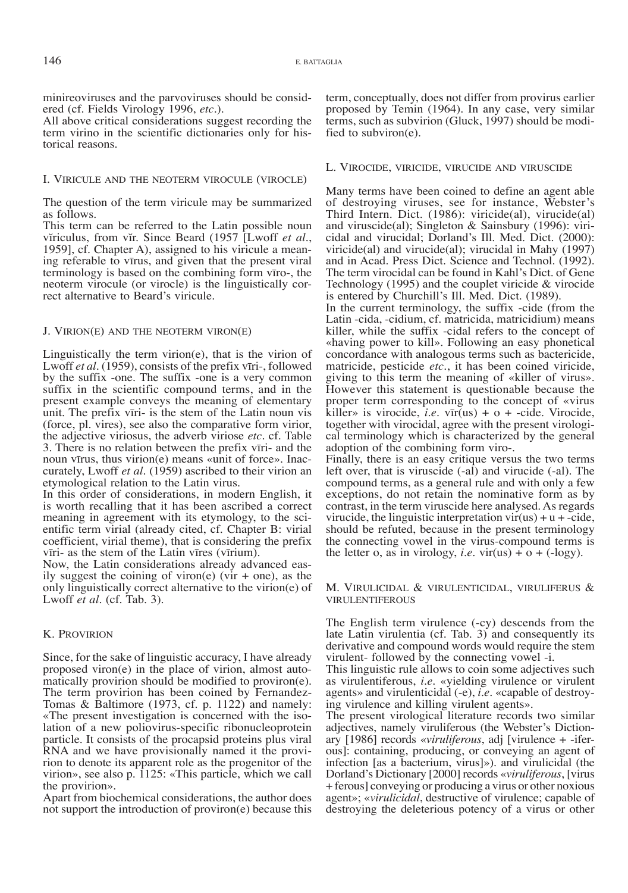minireoviruses and the parvoviruses should be considered (cf. Fields Virology 1996, *etc.*).

All above critical considerations suggest recording the term virino in the scientific dictionaries only for historical reasons.

#### I. Viricule and the neoterm virocule (virocle)

The question of the term viricule may be summarized as follows.

This term can be referred to the Latin possible noun viriculus, from vir. Since Beard (1957 [Lwoff *et al.*, 1959], cf. Chapter A), assigned to his viricule a meaning referable to vīrus, and given that the present viral terminology is based on the combining form vīro-, the neoterm virocule (or virocle) is the linguistically correct alternative to Beard's viricule.

#### J. Virion(e) and the neoterm viron(e)

Linguistically the term virion $(e)$ , that is the virion of Lwoff *et al.* (1959), consists of the prefix vīri-, followed by the suffix -one. The suffix -one is a very common suffix in the scientific compound terms, and in the present example conveys the meaning of elementary unit. The prefix vīri- is the stem of the Latin noun vis (force, pl. vires), see also the comparative form virior, the adjective viriosus, the adverb viriose *etc.* cf. Table 3. There is no relation between the prefix vīri- and the noun vīrus, thus virion(e) means «unit of force». Inaccurately, Lwoff *et al.* (1959) ascribed to their virion an etymological relation to the Latin virus.

In this order of considerations, in modern English, it is worth recalling that it has been ascribed a correct meaning in agreement with its etymology, to the scientific term virial (already cited, cf. Chapter B: virial coefficient, virial theme), that is considering the prefix vīri- as the stem of the Latin vīres (vīrium).

Now, the Latin considerations already advanced easily suggest the coining of viron(e) (vir  $+$  one), as the only linguistically correct alternative to the virion(e) of Lwoff *et al.* (cf. Tab. 3).

#### K. Provirion

Since, for the sake of linguistic accuracy, I have already proposed viron(e) in the place of virion, almost automatically provirion should be modified to proviron(e). The term provirion has been coined by Fernandez-Tomas & Baltimore (1973, cf. p. 1122) and namely: «The present investigation is concerned with the iso- lation of a new poliovirus-specific ribonucleoprotein particle. It consists of the procapsid proteins plus viral RNA and we have provisionally named it the provirion to denote its apparent role as the progenitor of the virion», see also p. 1125: «This particle, which we call the provirion».

Apart from biochemical considerations, the author does not support the introduction of proviron(e) because this term, conceptually, does not differ from provirus earlier proposed by Temin (1964). In any case, very similar terms, such as subvirion (Gluck, 1997) should be modified to subviron(e).

#### L. Virocide, viricide, virucide and viruscide

Many terms have been coined to define an agent able of destroying viruses, see for instance, Webster's Third Intern. Dict. (1986): viricide(al), virucide(al) and viruscide(al); Singleton & Sainsbury (1996): viricidal and virucidal; Dorland's Ill. Med. Dict. (2000): viricide(al) and virucide(al); virucidal in Mahy (1997) and in Acad. Press Dict. Science and Technol. (1992). The term virocidal can be found in Kahl's Dict. of Gene Technology (1995) and the couplet viricide & virocide is entered by Churchill's Ill. Med. Dict. (1989).

In the current terminology, the suffix -cide (from the Latin -cida, -cidium, cf. matricida, matricidium) means killer, while the suffix -cidal refers to the concept of «having power to kill». Following an easy phonetical concordance with analogous terms such as bactericide, matricide, pesticide *etc.*, it has been coined viricide, giving to this term the meaning of «killer of virus». However this statement is questionable because the proper term corresponding to the concept of «virus killer» is virocide, *i.e.* vīr(us) +  $o$  + -cide. Virocide, together with virocidal, agree with the present virological terminology which is characterized by the general adoption of the combining form viro-.

Finally, there is an easy critique versus the two terms left over, that is viruscide (-al) and virucide (-al). The compound terms, as a general rule and with only a few exceptions, do not retain the nominative form as by contrast, in the term viruscide here analysed. As regards virucide, the linguistic interpretation  $vir(us) + u + cide$ , should be refuted, because in the present terminology the connecting vowel in the virus-compound terms is the letter o, as in virology, *i.e.* vir(us) +  $o + (-\text{logy})$ .

M. Virulicidal & virulenticidal, viruliferus & virulentiferous

The English term virulence (-cy) descends from the late Latin virulentia (cf. Tab. 3) and consequently its derivative and compound words would require the stem virulent- followed by the connecting vowel -i.

This linguistic rule allows to coin some adjectives such as virulentiferous, *i.e.* «yielding virulence or virulent agents» and virulenticidal (-e), *i.e.* «capable of destroy- ing virulence and killing virulent agents».

The present virological literature records two similar adjectives, namely viruliferous (the Webster's Diction-<br>ary [1986] records *«viruliferous*, adj [virulence + -ifer-<br>ous]: containing, producing, or conveying an agent of infection [as a bacterium, virus]»). and virulicidal (the Dorland's Dictionary [2000] records «*viruliferous*, [virus + ferous] conveying or producing a virus or other noxious agent»; «*virulicidal*, destructive of virulence; capable of destroying the deleterious potency of a virus or other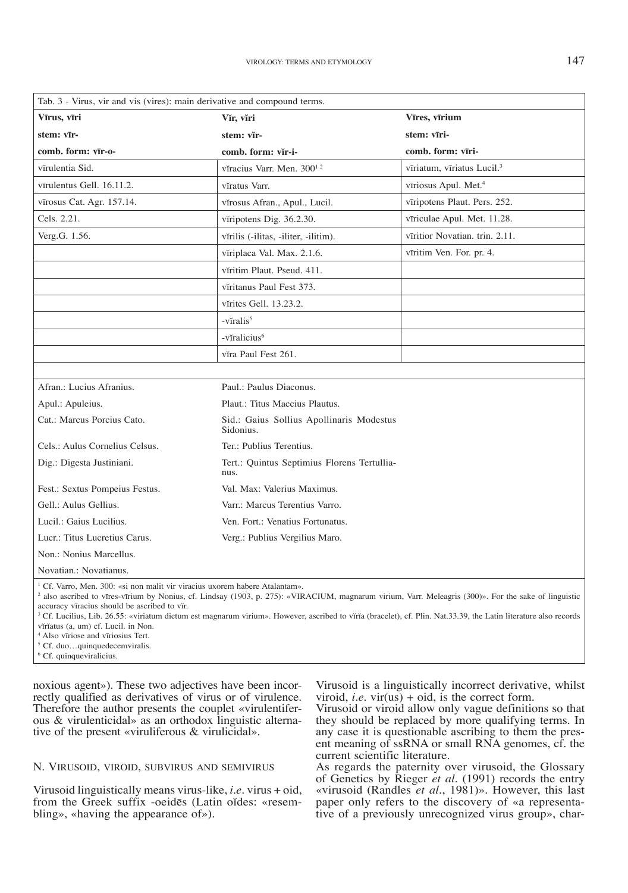| Tab. 3 - Virus, vir and vis (vires): main derivative and compound terms.                                                                                                                                                                                   |                                                       |                                        |  |  |  |  |  |
|------------------------------------------------------------------------------------------------------------------------------------------------------------------------------------------------------------------------------------------------------------|-------------------------------------------------------|----------------------------------------|--|--|--|--|--|
| Vīrus, vīri                                                                                                                                                                                                                                                | Vĭr, vĭri                                             | Vīres, vīrium                          |  |  |  |  |  |
| stem: vīr-                                                                                                                                                                                                                                                 | stem: vĭr-                                            | stem: vīri-                            |  |  |  |  |  |
| comb. form: vīr-o-                                                                                                                                                                                                                                         | comb. form: vĭr-i-                                    | comb. form: vīri-                      |  |  |  |  |  |
| vīrulentia Sid.                                                                                                                                                                                                                                            | vĭracius Varr. Men. 300 <sup>12</sup>                 | vīriatum, vīriatus Lucil. <sup>3</sup> |  |  |  |  |  |
| vīrulentus Gell. 16.11.2.                                                                                                                                                                                                                                  | vĭratus Varr.                                         | vīriosus Apul. Met. <sup>4</sup>       |  |  |  |  |  |
| vīrosus Cat. Agr. 157.14.                                                                                                                                                                                                                                  | vĭrosus Afran., Apul., Lucil.                         | vīripotens Plaut. Pers. 252.           |  |  |  |  |  |
| Cels. 2.21.                                                                                                                                                                                                                                                | vĭripotens Dig. 36.2.30.                              | vīriculae Apul. Met. 11.28.            |  |  |  |  |  |
| Verg.G. 1.56.                                                                                                                                                                                                                                              | vĭrilis (-ilitas, -iliter, -ilitim).                  | vīritior Novatian. trin. 2.11.         |  |  |  |  |  |
|                                                                                                                                                                                                                                                            | vĭriplaca Val. Max. 2.1.6.                            | vīritim Ven. For. pr. 4.               |  |  |  |  |  |
|                                                                                                                                                                                                                                                            | viritim Plaut. Pseud. 411.                            |                                        |  |  |  |  |  |
|                                                                                                                                                                                                                                                            | vĭritanus Paul Fest 373.                              |                                        |  |  |  |  |  |
|                                                                                                                                                                                                                                                            | vĭrites Gell. 13.23.2.                                |                                        |  |  |  |  |  |
|                                                                                                                                                                                                                                                            | -vĭralis <sup>5</sup>                                 |                                        |  |  |  |  |  |
|                                                                                                                                                                                                                                                            | -vĭralicius <sup>6</sup>                              |                                        |  |  |  |  |  |
|                                                                                                                                                                                                                                                            | vĭra Paul Fest 261.                                   |                                        |  |  |  |  |  |
|                                                                                                                                                                                                                                                            |                                                       |                                        |  |  |  |  |  |
| Afran.: Lucius Afranius.                                                                                                                                                                                                                                   | Paul.: Paulus Diaconus.                               |                                        |  |  |  |  |  |
| Apul.: Apuleius.                                                                                                                                                                                                                                           | Plaut.: Titus Maccius Plautus.                        |                                        |  |  |  |  |  |
| Cat.: Marcus Porcius Cato.                                                                                                                                                                                                                                 | Sid.: Gaius Sollius Apollinaris Modestus<br>Sidonius. |                                        |  |  |  |  |  |
| Cels.: Aulus Cornelius Celsus.                                                                                                                                                                                                                             | Ter.: Publius Terentius.                              |                                        |  |  |  |  |  |
| Dig.: Digesta Justiniani.                                                                                                                                                                                                                                  | Tert.: Quintus Septimius Florens Tertullia-<br>nus.   |                                        |  |  |  |  |  |
| Fest.: Sextus Pompeius Festus.                                                                                                                                                                                                                             | Val. Max: Valerius Maximus.                           |                                        |  |  |  |  |  |
| Gell.: Aulus Gellius.                                                                                                                                                                                                                                      | Varr.: Marcus Terentius Varro.                        |                                        |  |  |  |  |  |
| Lucil.: Gaius Lucilius.                                                                                                                                                                                                                                    | Ven. Fort.: Venatius Fortunatus.                      |                                        |  |  |  |  |  |
| Lucr.: Titus Lucretius Carus.                                                                                                                                                                                                                              | Verg.: Publius Vergilius Maro.                        |                                        |  |  |  |  |  |
| Non.: Nonius Marcellus.                                                                                                                                                                                                                                    |                                                       |                                        |  |  |  |  |  |
| Novatian.: Novatianus.                                                                                                                                                                                                                                     |                                                       |                                        |  |  |  |  |  |
| <sup>1</sup> Cf. Varro, Men. 300: «si non malit vir viracius uxorem habere Atalantam».<br><sup>2</sup> also ascribed to vīres-vīrium by Nonius, cf. Lindsay (1903, p. 275): «VIRACIUM, magnarum virium, Varr. Meleagris (300)». For the sake of linguistic |                                                       |                                        |  |  |  |  |  |

 also ascribed to vīres-vīrium by Nonius, cf. Lindsay (1903, p. 275): «VIRACIUM, magnarum virium, Varr. Meleagris (300)». For the sake of linguistic accuracy vĭracius should be ascribed to vĭr.

<sup>3</sup> Cf. Lucilius, Lib. 26.55: «viriatum dictum est magnarum virium». However, ascribed to vĭrĭa (bracelet), cf. Plin. Nat.33.39, the Latin literature also records vĭrĭatus (a, um) cf. Lucil. in Non.

4 Also vīriose and vīriosius Tert.

5 Cf. duo…quinquedecemviralis.

6 Cf. quinqueviralicius.

noxious agent»). These two adjectives have been incorrectly qualified as derivatives of virus or of virulence. Therefore the author presents the couplet «virulentiferous & virulenticidal» as an orthodox linguistic alternative of the present «viruliferous & virulicidal».

## N. Virusoid, viroid, subvirus and semivirus

Virusoid linguistically means virus-like, *i.e.* virus + oid, from the Greek suffix -oeidēs (Latin oĭdes: «resembling», «having the appearance of»).

Virusoid is a linguistically incorrect derivative, whilst viroid, *i.e.* vir( $u\overline{s}$ ) + oid, is the correct form.

Virusoid or viroid allow only vague definitions so that they should be replaced by more qualifying terms. In any case it is questionable ascribing to them the pres- ent meaning of ssRNA or small RNA genomes, cf. the current scientific literature.

As regards the paternity over virusoid, the Glossary of Genetics by Rieger *et al.* (1991) records the entry «virusoid (Randles *et al.*, 1981)». However, this last paper only refers to the discovery of «a representative of a previously unrecognized virus group», char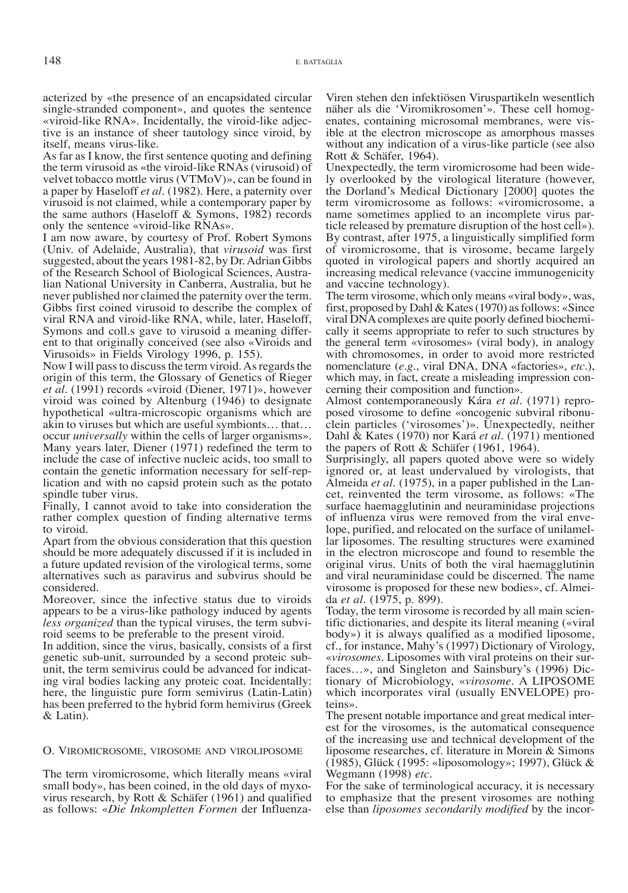acterized by «the presence of an encapsidated circular single-stranded component», and quotes the sentence «viroid-like RNA». Incidentally, the viroid-like adjective is an instance of sheer tautology since viroid, by itself, means virus-like.

As far as I know, the first sentence quoting and defining the term virusoid as «the viroid-like RNAs (virusoid) of velvet tobacco mottle virus (VTMoV)», can be found in a paper by Haseloff *et al.* (1982). Here, a paternity over virusoid is not claimed, while a contemporary paper by the same authors (Haseloff & Symons, 1982) records only the sentence «viroid-like RNAs».

I am now aware, by courtesy of Prof. Robert Symons (Univ. of Adelaide, Australia), that *virusoid* was first suggested, about the years 1981-82, by Dr. Adrian Gibbs of the Research School of Biological Sciences, Australian National University in Canberra, Australia, but he never published nor claimed the paternity over the term. Gibbs first coined virusoid to describe the complex of viral RNA and viroid-like RNA, while, later, Haseloff, ent to that originally conceived (see also «Viroids and Virusoids» in Fields Virology 1996, p. 155).

Now I will pass to discuss the term viroid. As regards the origin of this term, the Glossary of Genetics of Rieger *et al.* (1991) records «viroid (Diener, 1971)», however viroid was coined by Altenburg (1946) to designate hypothetical «ultra-microscopic organisms which are akin to viruses but which are useful symbionts… that… occur *universally* within the cells of larger organisms». Many years later, Diener (1971) redefined the term to include the case of infective nucleic acids, too small to contain the genetic information necessary for self-replication and with no capsid protein such as the potato spindle tuber virus.

Finally, I cannot avoid to take into consideration the rather complex question of finding alternative terms to viroid.

Apart from the obvious consideration that this question should be more adequately discussed if it is included in a future updated revision of the virological terms, some alternatives such as paravirus and subvirus should be considered.

Moreover, since the infective status due to viroids appears to be a virus-like pathology induced by agents *less organized* than the typical viruses, the term subviroid seems to be preferable to the present viroid.

In addition, since the virus, basically, consists of a first genetic sub-unit, surrounded by a second proteic subunit, the term semivirus could be advanced for indicating viral bodies lacking any proteic coat. Incidentally: here, the linguistic pure form semivirus (Latin-Latin) has been preferred to the hybrid form hemivirus (Greek & Latin).

#### O. Viromicrosome, virosome and viroliposome

The term viromicrosome, which literally means «viral small body», has been coined, in the old days of myxovirus research, by Rott & Schäfer (1961) and qualified as follows: «*Die Inkompletten Formen* der InfluenzaViren stehen den infektiösen Viruspartikeln wesentlich näher als die 'Viromikrosomen'». These cell homogenates, containing microsomal membranes, were visible at the electron microscope as amorphous masses without any indication of a virus-like particle (see also Rott & Schäfer, 1964).

Unexpectedly, the term viromicrosome had been widely overlooked by the virological literature (however, the Dorland's Medical Dictionary [2000] quotes the term viromicrosome as follows: «viromicrosome, a name sometimes applied to an incomplete virus particle released by premature disruption of the host cell»). By contrast, after 1975, a linguistically simplified form of viromicrosome, that is virosome, became largely quoted in virological papers and shortly acquired an increasing medical relevance (vaccine immunogenicity and vaccine technology).

The term virosome, which only means «viral body», was, first, proposed by Dahl & Kates (1970) as follows: «Since cally it seems appropriate to refer to such structures by the general term «virosomes» (viral body), in analogy with chromosomes, in order to avoid more restricted nomenclature (*e.g.*, viral DNA, DNA «factories», *etc.*), which may, in fact, create a misleading impression concerning their composition and function».<br>Almost contemporaneously Kára *et al.* (1971) repro-

posed virosome to define «oncogenic subviral ribonu-<br>clein particles ('virosomes')». Unexpectedly, neither Dahl & Kates (1970) nor Kará *et al.* (1971) mentioned the papers of Rott & Schäfer (1961, 1964).

Surprisingly, all papers quoted above were so widely ignored or, at least undervalued by virologists, that Almeida *et al.* (1975), in a paper published in the Lancet, reinvented the term virosome, as follows: «The surface haemagglutinin and neuraminidase projections of influenza virus were removed from the viral envelope, purified, and relocated on the surface of unilamellar liposomes. The resulting structures were examined in the electron microscope and found to resemble the original virus. Units of both the viral haemagglutinin and viral neuraminidase could be discerned. The name virosome is proposed for these new bodies», cf. Almei- da *et al.* (1975, p. 899).

Today, the term virosome is recorded by all main scientific dictionaries, and despite its literal meaning («viral body») it is always qualified as a modified liposome, cf., for instance, Mahy's (1997) Dictionary of Virology, «*virosomes.* Liposomes with viral proteins on their surfaces…», and Singleton and Sainsbury's (1996) Dictionary of Microbiology, «*virosome*. A LIPOSOME which incorporates viral (usually ENVELOPE) pro-<br>teins».

The present notable importance and great medical inter- est for the virosomes, is the automatical consequence of the increasing use and technical development of the liposome researches, cf. literature in Morein & Simons (1985), Glück (1995: «liposomology»; 1997), Glück & Wegmann (1998) *etc.*

For the sake of terminological accuracy, it is necessary to emphasize that the present virosomes are nothing else than *liposomes secondarily modified* by the incor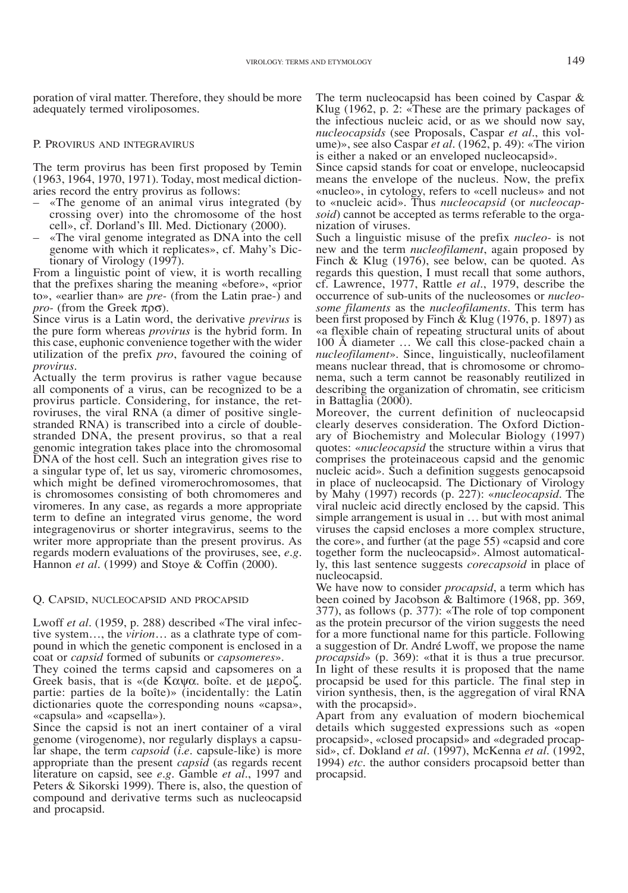poration of viral matter. Therefore, they should be more adequately termed viroliposomes.

#### P. Provirus and integravirus

The term provirus has been first proposed by Temin (1963, 1964, 1970, 1971). Today, most medical dictionaries record the entry provirus as follows:

- «The genome of an animal virus integrated (by crossing over) into the chromosome of the host cell», cf. Dorland's Ill. Med. Dictionary (2000).
- «The viral genome integrated as DNA into the cell genome with which it replicates», cf. Mahy's Dictionary of Virology (1997).

From a linguistic point of view, it is worth recalling that the prefixes sharing the meaning «before», «prior to», «earlier than» are *pre-* (from the Latin prae-) and *pro-* (from the Greek πρσ).

Since virus is a Latin word, the derivative *previrus* is the pure form whereas *provirus* is the hybrid form. In this case, euphonic convenience together with the wider utilization of the prefix *pro*, favoured the coining of

Actually the term provirus is rather vague because all components of a virus, can be recognized to be a provirus particle. Considering, for instance, the retroviruses, the viral RNA (a dimer of positive singlestranded RNA) is transcribed into a circle of doublestranded DNA, the present provirus, so that a real genomic integration takes place into the chromosomal DNA of the host cell. Such an integration gives rise to a singular type of, let us say, viromeric chromosomes, which might be defined viromerochromosomes, that is chromosomes consisting of both chromomeres and viromeres. In any case, as regards a more appropriate term to define an integrated virus genome, the word integragenovirus or shorter integravirus, seems to the writer more appropriate than the present provirus. As regards modern evaluations of the proviruses, see, *e.g.* Hannon *et al.* (1999) and Stoye & Coffin (2000).

#### Q. Capsid, nucleocapsid and procapsid

Lwoff *et al.* (1959, p. 288) described «The viral infective system…, the *virion*… as a clathrate type of compound in which the genetic component is enclosed in a coat or *capsid* formed of subunits or *capsomeres*».

They coined the terms capsid and capsomeres on a Greek basis, that is «(de Καψα. boîte. et de µεροζ. partie: parties de la boîte)» (incidentally: the Latin dictionaries quote the corresponding nouns «capsa», «capsula» and «capsella»).

Since the capsid is not an inert container of a viral genome (virogenome), nor regularly displays a capsular shape, the term *capsoid* (*i.e.* capsule-like) is more appropriate than the present *capsid* (as regards recent literature on capsid, see *e.g.* Gamble *et al.*, 1997 and Peters & Sikorski 1999). There is, also, the question of compound and derivative terms such as nucleocapsid and procapsid.

The term nucleocapsid has been coined by Caspar & Klug (1962, p. 2: «These are the primary packages of the infectious nucleic acid, or as we should now say, *nucleocapsids* (see Proposals, Caspar *et al.*, this volume)», see also Caspar *et al.* (1962, p. 49): «The virion is either a naked or an enveloped nucleocapsid».

Since capsid stands for coat or envelope, nucleocapsid means the envelope of the nucleus. Now, the prefix «nucleo», in cytology, refers to «cell nucleus» and not to «nucleic acid». Thus *nucleocapsid* (or *nucleocapsoid*) cannot be accepted as terms referable to the organization of viruses.

Such a linguistic misuse of the prefix *nucleo-* is not new and the term *nucleofilament*, again proposed by Finch & Klug (1976), see below, can be quoted. As regards this question, I must recall that some authors, cf. Lawrence, 1977, Rattle *et al.*, 1979, describe the some filaments as the *nucleofilaments*. This term has been first proposed by Finch  $\&$  Klug (1976, p. 1897) as «a flexible chain of repeating structural units of about 100 Å diameter … We call this close-packed chain a *nucleofilament*». Since, linguistically, nucleofilament nema, such a term cannot be reasonably reutilized in describing the organization of chromatin, see criticism in Battaglia (2000).

Moreover, the current definition of nucleocapsid<br>clearly deserves consideration. The Oxford Dictionary of Biochemistry and Molecular Biology (1997) quotes: «*nucleocapsid* the structure within a virus that comprises the proteinaceous capsid and the genomic nucleic acid». Such a definition suggests genocapsoid in place of nucleocapsid. The Dictionary of Virology by Mahy (1997) records (p. 227): «*nucleocapsid.* The viral nucleic acid directly enclosed by the capsid. This simple arrangement is usual in … but with most animal viruses the capsid encloses a more complex structure, the core», and further (at the page 55) «capsid and core together form the nucleocapsid». Almost automatically, this last sentence suggests *corecapsoid* in place of nucleocapsid.

We have now to consider *procapsid*, a term which has been coined by Jacobson & Baltimore (1968, pp. 369, 377), as follows (p. 377): «The role of top component as the protein precursor of the virion suggests the need for a more functional name for this particle. Following a suggestion of Dr. André Lwoff, we propose the name *procapsid*» (p. 369): «that it is thus a true precursor. In light of these results it is proposed that the name procapsid be used for this particle. The final step in virion synthesis, then, is the aggregation of viral RNA with the procapsid».

Apart from any evaluation of modern biochemical details which suggested expressions such as «open procapsid», «closed procapsid» and «degraded procapsid», cf. Dokland *et al.* (1997), McKenna *et al.* (1992, 1994) *etc.* the author considers procapsoid better than procapsid.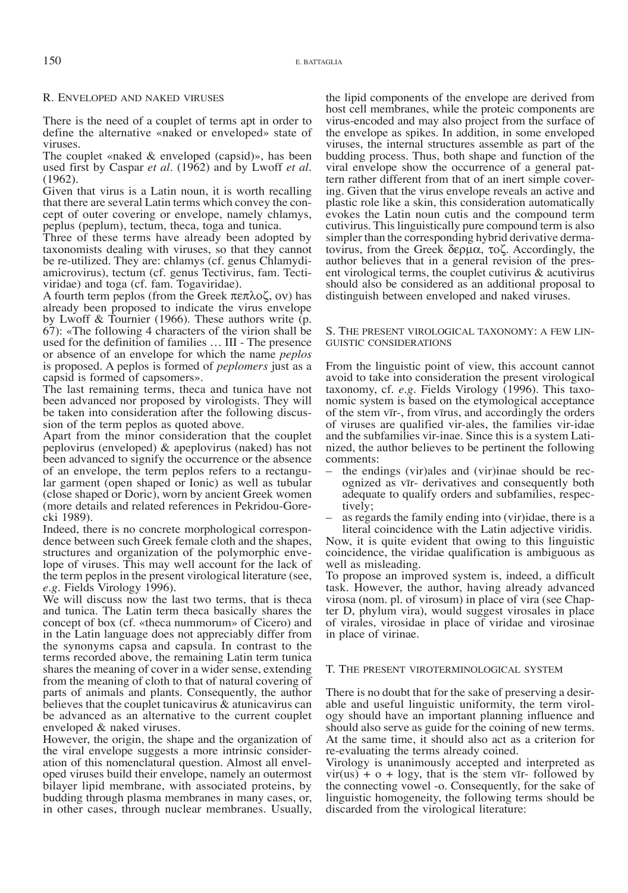#### R. Enveloped and naked viruses

There is the need of a couplet of terms apt in order to define the alternative «naked or enveloped» state of viruses.

The couplet «naked & enveloped (capsid)», has been used first by Caspar *et al.* (1962) and by Lwoff *et al.* (1962).

Given that virus is a Latin noun, it is worth recalling that there are several Latin terms which convey the concept of outer covering or envelope, namely chlamys, peplus (peplum), tectum, theca, toga and tunica.

Three of these terms have already been adopted by taxonomists dealing with viruses, so that they cannot be re-utilized. They are: chlamys (cf. genus Chlamydiamicrovirus), tectum (cf. genus Tectivirus, fam. Tectiviridae) and toga (cf. fam. Togaviridae).

A fourth term peplos (from the Greek πεπλοζ, ον) has already been proposed to indicate the virus envelope by Lwoff & Tournier (1966). These authors write (p. 67): «The following 4 characters of the virion shall be used for the definition of families … III - The presence or absence of an envelope for which the name *peplos* is proposed. A peplos is formed of *peplomers* just as a capsid is formed of capsomers».

The last remaining terms, theca and tunica have not been advanced nor proposed by virologists. They will be taken into consideration after the following discus- sion of the term peplos as quoted above.

Apart from the minor consideration that the couplet peplovirus (enveloped) & apeplovirus (naked) has not been advanced to signify the occurrence or the absence of an envelope, the term peplos refers to a rectangular garment (open shaped or Ionic) as well as tubular (close shaped or Doric), worn by ancient Greek women (more details and related references in Pekridou-Gore- cki 1989).

Indeed, there is no concrete morphological correspondence between such Greek female cloth and the shapes, structures and organization of the polymorphic envelope of viruses. This may well account for the lack of the term peplos in the present virological literature (see, *e.g.* Fields Virology 1996).

We will discuss now the last two terms, that is theca and tunica. The Latin term theca basically shares the concept of box (cf. «theca nummorum» of Cicero) and in the Latin language does not appreciably differ from the synonyms capsa and capsula. In contrast to the terms recorded above, the remaining Latin term tunica shares the meaning of cover in a wider sense, extending from the meaning of cloth to that of natural covering of parts of animals and plants. Consequently, the author believes that the couplet tunicavirus & atunicavirus can be advanced as an alternative to the current couplet enveloped & naked viruses.

However, the origin, the shape and the organization of the viral envelope suggests a more intrinsic consideration of this nomenclatural question. Almost all enveloped viruses build their envelope, namely an outermost bilayer lipid membrane, with associated proteins, by budding through plasma membranes in many cases, or, in other cases, through nuclear membranes. Usually, the lipid components of the envelope are derived from host cell membranes, while the proteic components are virus-encoded and may also project from the surface of the envelope as spikes. In addition, in some enveloped viruses, the internal structures assemble as part of the budding process. Thus, both shape and function of the viral envelope show the occurrence of a general pattern rather different from that of an inert simple covering. Given that the virus envelope reveals an active and plastic role like a skin, this consideration automatically evokes the Latin noun cutis and the compound term cutivirus. This linguistically pure compound term is also simpler than the corresponding hybrid derivative dermatovirus, from the Greek δερµα, τοζ. Accordingly, the author believes that in a general revision of the present virological terms, the couplet cutivirus & acutivirus should also be considered as an additional proposal to distinguish between enveloped and naked viruses.

#### S. The present virological taxonomy: a few lin guistic considerations

From the linguistic point of view, this account cannot avoid to take into consideration the present virological taxonomy, cf. e.g. Fields Virology (1996). This taxonomic system is based on the etymological acceptance of the stem vīr-, from vīrus, and accordingly the orders of viruses are qualified vir-ales, the families vir-idae nized, the author believes to be pertinent the following

- comments:<br>- the endings (vir)ales and (vir)inae should be recognized as vīr- derivatives and consequently both adequate to qualify orders and subfamilies, respec-
- tively;<br>as regards the family ending into (vir)idae, there is a literal coincidence with the Latin adjective viridis.

Now, it is quite evident that owing to this linguistic coincidence, the viridae qualification is ambiguous as well as misleading.

To propose an improved system is, indeed, a difficult task. However, the author, having already advanced virosa (nom. pl. of virosum) in place of vira (see Chapter D, phylum vira), would suggest virosales in place of virales, virosidae in place of viridae and virosinae in place of virinae.

#### T. The present viroterminological system

There is no doubt that for the sake of preserving a desir- able and useful linguistic uniformity, the term virology should have an important planning influence and should also serve as guide for the coining of new terms. At the same time, it should also act as a criterion for re-evaluating the terms already coined.

Virology is unanimously accepted and interpreted as  $vir(us) + o + logy$ , that is the stem vīr- followed by the connecting vowel -o. Consequently, for the sake of linguistic homogeneity, the following terms should be discarded from the virological literature: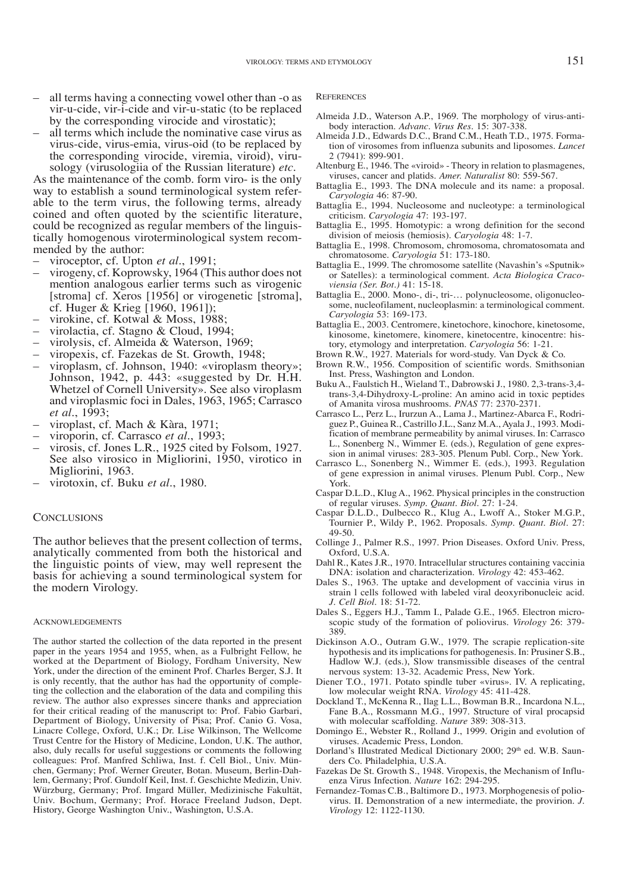- all terms having a connecting vowel other than -o as vir-u-cide, vir-i-cide and vir-u-static (to be replaced
- all terms which include the nominative case virus as virus-cide, virus-emia, virus-oid (to be replaced by the corresponding virocide, viremia, viroid), virusology (virusologiia of the Russian literature) *etc.*

As the maintenance of the comb. form viro- is the only way to establish a sound terminological system referable to the term virus, the following terms, already coined and often quoted by the scientific literature, could be recognized as regular members of the linguistically homogenous viroterminological system recommended by the author:

- viroceptor, cf. Upton *et al.*, 1991;
- virogeny, cf. Koprowsky, 1964 (This author does not mention analogous earlier terms such as virogenic [stroma] cf. Xeros [1956] or virogenetic [stroma], cf. Huger & Krieg [1960, 1961]);
- 
- 
- 
- 
- virokine, cf. Kotwal & Moss, 1988;<br>virolactia, cf. Stagno & Cloud, 1994;<br>virolysis, cf. Almeida & Waterson, 1969;<br>viropexis, cf. Fazekas de St. Growth, 1948;<br>viroplasm, cf. Johnson, 1940: «viroplasm theory»; Johnson, 1942, p. 443: «suggested by Dr. H.H. Whetzel of Cornell University». See also viroplasm and viroplasmic foci in Dales, 1963, 1965; Carrasco et al., 1993;
- 
- 
- *et al.*, ef. Mach & Kàra, 1971;<br>viroporin, cf. Carrasco *et al.*, 1993;<br>virosis, cf. Jones L.R., 1925 cited by Folsom, 1927. See also virosico in Migliorini, 1950, virotico in
- virotoxin, cf. Buku et al., 1980.

#### **CONCLUSIONS**

The author believes that the present collection of terms, analytically commented from both the historical and the linguistic points of view, may well represent the basis for achieving a sound terminological system for the modern Virology.

#### **ACKNOWLEDGEMENTS**

The author started the collection of the data reported in the present paper in the years 1954 and 1955, when, as a Fulbright Fellow, he worked at the Department of Biology, Fordham University, New York, under the direction of the eminent Prof. Charles Berger, S.J. It is only recently, that the author has had the opportunity of completing the collection and the elaboration of the data and compiling this review. The author also expresses sincere thanks and appreciation for their critical reading of the manuscript to: Prof. Fabio Garbari, Department of Biology, University of Pisa; Prof. Canio G. Vosa, Linacre College, Oxford, U.K.; Dr. Lise Wilkinson, The Wellcome Trust Centre for the History of Medicine, London, U.K. The author, also, duly recalls for useful suggestions or comments the following colleagues: Prof. Manfred Schliwa, Inst. f. Cell Biol., Univ. München, Germany; Prof. Werner Greuter, Botan. Museum, Berlin-Dahlem, Germany; Prof. Gundolf Keil, Inst. f. Geschichte Medizin, Univ. Würzburg, Germany; Prof. Imgard Müller, Medizinische Fakultät, Univ. Bochum, Germany; Prof. Horace Freeland Judson, Dept. History, George Washington Univ., Washington, U.S.A.

#### **REFERENCES**

- Almeida J.D., Waterson A.P., 1969. The morphology of virus-antibody interaction. *Advanc. Virus Res.* 15: 307-338.
- Almeida J.D., Edwards D.C., Brand C.M., Heath T.D., 1975. Formation of virosomes from influenza subunits and liposomes. *Lancet* 2 (7941): 899-901.
- Altenburg E., 1946. The «viroid» Theory in relation to plasmagenes, viruses, cancer and platids. *Amer. Naturalist* 80: 559-567.
- Battaglia E., 1993. The DNA molecule and its name: a proposal. *Caryologia* 46: 87-90.
- Battaglia E., 1994. Nucleosome and nucleotype: a terminological criticism. *Caryologia* 47: 193-197.
- Battaglia E., 1995. Homotypic: a wrong definition for the second division of meiosis (hemiosis). *Caryologia* 48: 1-7.
- Battaglia E., 1998. Chromosom, chromosoma, chromatosomata and chromatosome. *Caryologia* 51: 173-180.
- Battaglia E., 1999. The chromosome satellite (Navashin's «Sputnik» or Satelles): a terminological comment. *Acta Biologica Cracoviensia (Ser. Bot.)* 41: 15-18.
- Battaglia E., 2000. Mono-, di-, tri-… polynucleosome, oligonucleosome, nucleofilament, nucleoplasmin: a terminological comment. *Caryologia* 53: 169-173.
- Battaglia E., 2003. Centromere, kinetochore, kinochore, kinetosome, kinosome, kinetomere, kinomere, kinetocentre, kinocentre: history, etymology and interpretation. *Caryologia* 56: 1-21.
- Brown R.W., 1927. Materials for word-study. Van Dyck & Co.
- Brown R.W., 1956. Composition of scientific words. Smithsonian Inst. Press, Washington and London.
- Buku A., Faulstich H., Wieland T., Dabrowski J., 1980. 2,3-trans-3,4 trans-3,4-Dihydroxy-L-proline: An amino acid in toxic peptides of Amanita virosa mushrooms. *PNAS* 77: 2370-2371.
- Carrasco L., Perz L., Irurzun A., Lama J., Martinez-Abarca F., Rodriguez P., Guinea R., Castrillo J.L., Sanz M.A., Ayala J., 1993. Modification of membrane permeability by animal viruses. In: Carrasco L., Sonenberg N., Wimmer E. (eds.), Regulation of gene expression in animal viruses: 283-305. Plenum Publ. Corp., New York.
- Carrasco L., Sonenberg N., Wimmer E. (eds.), 1993. Regulation of gene expression in animal viruses. Plenum Publ. Corp., New York.
- Caspar D.L.D., Klug A., 1962. Physical principles in the construction of regular viruses. *Symp. Quant. Biol.* 27: 1-24.
- Caspar D.L.D., Dulbecco R., Klug A., Lwoff A., Stoker M.G.P., Tournier P., Wildy P., 1962. Proposals. *Symp. Quant. Biol.* 27: 49-50.
- Collinge J., Palmer R.S., 1997. Prion Diseases. Oxford Univ. Press, Oxford, U.S.A.
- Dahl R., Kates J.R., 1970. Intracellular structures containing vaccinia DNA: isolation and characterization. *Virology* 42: 453-462.
- Dales S., 1963. The uptake and development of vaccinia virus in strain l cells followed with labeled viral deoxyribonucleic acid. *J. Cell Biol.* 18: 51-72.
- Dales S., Eggers H.J., Tamm I., Palade G.E., 1965. Electron microscopic study of the formation of poliovirus. *Virology* 26: 379- 389.
- Dickinson A.O., Outram G.W., 1979. The scrapie replication-site hypothesis and its implications for pathogenesis. In: Prusiner S.B., Hadlow W.J. (eds.), Slow transmissible diseases of the central nervous system: 13-32. Academic Press, New York.
- Diener T.O., 1971. Potato spindle tuber «virus». IV. A replicating, low molecular weight RNA. *Virology* 45: 411-428.
- Dockland T., McKenna R., Ilag L.L., Bowman B.R., Incardona N.L., Fane B.A., Rossmann M.G., 1997. Structure of viral procapsid with molecular scaffolding. *Nature* 389: 308-313.
- Domingo E., Webster R., Rolland J., 1999. Origin and evolution of viruses. Academic Press, London.
- Dorland's Illustrated Medical Dictionary 2000; 29th ed. W.B. Saunders Co. Philadelphia, U.S.A.
- Fazekas De St. Growth S., 1948. Viropexis, the Mechanism of Influenza Virus Infection. *Nature* 162: 294-295.
- Fernandez-Tomas C.B., Baltimore D., 1973. Morphogenesis of poliovirus. II. Demonstration of a new intermediate, the provirion. *J. Virology* 12: 1122-1130.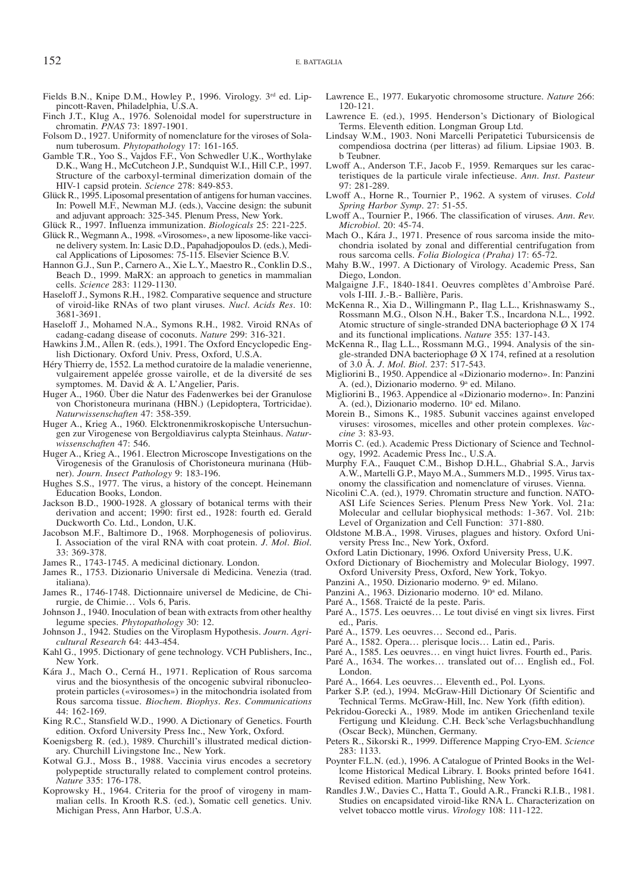- Fields B.N., Knipe D.M., Howley P., 1996. Virology. 3rd ed. Lippincott-Raven, Philadelphia, U.S.A.
- Finch J.T., Klug A., 1976. Solenoidal model for superstructure in chromatin. *PNAS* 73: 1897-1901.
- Folsom D., 1927. Uniformity of nomenclature for the viroses of Solanum tuberosum. *Phytopathology* 17: 161-165.
- Gamble T.R., Yoo S., Vajdos F.F., Von Schwedler U.K., Worthylake D.K., Wang H., McCutcheon J.P., Sundquist W.I., Hill C.P., 1997. Structure of the carboxyl-terminal dimerization domain of the HIV-1 capsid protein. *Science* 278: 849-853.
- Glück R., 1995. Liposomal presentation of antigens for human vaccines. In: Powell M.F., Newman M.J. (eds.), Vaccine design: the subunit and adjuvant approach: 325-345. Plenum Press, New York.
- Glück R., 1997. Influenza immunization. *Biologicals* 25: 221-225.
- Glück R., Wegmann A., 1998. «Virosomes», a new liposome-like vaccine delivery system. In: Lasic D.D., Papahadjopoulos D. (eds.), Medical Applications of Liposomes: 75-115. Elsevier Science B.V.
- Hannon G.J., Sun P., Carnero A., Xie L.Y., Maestro R., Conklin D.S., Beach D., 1999. MaRX: an approach to genetics in mammalian cells. *Science* 283: 1129-1130.
- Haseloff J., Symons R.H., 1982. Comparative sequence and structure of viroid-like RNAs of two plant viruses. *Nucl. Acids Res.* 10: 3681-3691.
- Haseloff J., Mohamed N.A., Symons R.H., 1982. Viroid RNAs of cadang-cadang disease of coconuts. *Nature* 299: 316-321.
- Hawkins J.M., Allen R. (eds.), 1991. The Oxford Encyclopedic English Dictionary. Oxford Univ. Press, Oxford, U.S.A.
- Héry Thierry de, 1552. La method curatoire de la maladie venerienne, vulgairement appelée grosse vairolle, et de la diversité de ses symptomes. M. David & A. L'Angelier, Paris.
- Huger A., 1960. Über die Natur des Fadenwerkes bei der Granulose von Choristoneura murinana (HBN.) (Lepidoptera, Tortricidae). *Naturwissenschaften* 47: 358-359.
- Huger A., Krieg A., 1960. Elcktronenmikroskopische Untersuchungen zur Virogenese von Bergoldiavirus calypta Steinhaus. *Naturwissenschaften* 47: 546.
- Huger A., Krieg A., 1961. Electron Microscope Investigations on the Virogenesis of the Granulosis of Choristoneura murinana (Hübner). *Journ. Insect Pathology* 9: 183-196.
- Hughes S.S., 1977. The virus, a history of the concept. Heinemann Education Books, London.
- Jackson B.D., 1900-1928. A glossary of botanical terms with their derivation and accent; 1990: first ed., 1928: fourth ed. Gerald Duckworth Co. Ltd., London, U.K.
- Jacobson M.F., Baltimore D., 1968. Morphogenesis of poliovirus. I. Association of the viral RNA with coat protein. *J. Mol. Biol.* 33: 369-378.
- James R., 1743-1745. A medicinal dictionary. London.
- James R., 1753. Dizionario Universale di Medicina. Venezia (trad. italiana).
- James R., 1746-1748. Dictionnaire universel de Medicine, de Chirurgie, de Chimie… Vols 6, Paris.
- Johnson J., 1940. Inoculation of bean with extracts from other healthy legume species. *Phytopathology* 30: 12.
- Johnson J., 1942. Studies on the Viroplasm Hypothesis. *Journ. Agricultural Research* 64: 443-454.
- Kahl G., 1995. Dictionary of gene technology. VCH Publishers, Inc., New York.
- Kára J., Mach O., Cerná H., 1971. Replication of Rous sarcoma virus and the biosynthesis of the oncogenic subviral ribonucleoprotein particles («virosomes») in the mitochondria isolated from Rous sarcoma tissue. *Biochem. Biophys. Res. Communications* 44: 162-169.
- King R.C., Stansfield W.D., 1990. A Dictionary of Genetics. Fourth edition. Oxford University Press Inc., New York, Oxford.
- Koenigsberg R. (ed.), 1989. Churchill's illustrated medical dictionary. Churchill Livingstone Inc., New York.
- Kotwal G.J., Moss B., 1988. Vaccinia virus encodes a secretory polypeptide structurally related to complement control proteins. *Nature* 335: 176-178.
- Koprowsky H., 1964. Criteria for the proof of virogeny in mammalian cells. In Krooth R.S. (ed.), Somatic cell genetics. Univ. Michigan Press, Ann Harbor, U.S.A.
- Lawrence E., 1977. Eukaryotic chromosome structure. *Nature* 266: 120-121.
- Lawrence E. (ed.), 1995. Henderson's Dictionary of Biological Terms. Eleventh edition. Longman Group Ltd.
- Lindsay W.M., 1903. Noni Marcelli Peripatetici Tubursicensis de compendiosa doctrina (per litteras) ad filium. Lipsiae 1903. B. b Teubner.
- Lwoff A., Anderson T.F., Jacob F., 1959. Remarques sur les caracteristiques de la particule virale infectieuse. *Ann. Inst. Pasteur* 97: 281-289.
- Lwoff A., Horne R., Tournier P., 1962. A system of viruses. *Cold Spring Harbor Symp.* 27: 51-55.
- Lwoff A., Tournier P., 1966. The classification of viruses. *Ann. Rev. Microbiol.* 20: 45-74.
- Mach O., Kára J., 1971. Presence of rous sarcoma inside the mitochondria isolated by zonal and differential centrifugation from rous sarcoma cells. *Folia Biologica (Praha)* 17: 65-72.
- Mahy B.W., 1997. A Dictionary of Virology. Academic Press, San Diego, London.
- Malgaigne J.F., 1840-1841. Oeuvres complètes d'Ambroìse Paré. vols I-III. J.-B.- Ballière, Paris.
- McKenna R., Xia D., Willingmann P., Ilag L.L., Krishnaswamy S., Rossmann M.G., Olson N.H., Baker T.S., Incardona N.L., 1992. Atomic structure of single-stranded DNA bacteriophage Ø X 174 and its functional implications. *Nature* 355: 137-143.
- McKenna R., Ilag L.L., Rossmann M.G., 1994. Analysis of the single-stranded DNA bacteriophage Ø X 174, refined at a resolution of 3.0 Å. *J. Mol. Biol.* 237: 517-543.
- Migliorini B., 1950. Appendice al «Dizionario moderno». In: Panzini A. (ed.), Dizionario moderno. 9<sup>a</sup> ed. Milano.
- Migliorini B., 1963. Appendice al «Dizionario moderno». In: Panzini A. (ed.), Dizionario moderno. 10<sup>a</sup> ed. Milano.
- Morein B., Simons K., 1985. Subunit vaccines against enveloped viruses: virosomes, micelles and other protein complexes. *Vaccine* 3: 83-93.
- Morris C. (ed.). Academic Press Dictionary of Science and Technology, 1992. Academic Press Inc., U.S.A.
- Murphy F.A., Fauquet C.M., Bishop D.H.L., Ghabrial S.A., Jarvis A.W., Martelli G.P., Mayo M.A., Summers M.D., 1995. Virus taxonomy the classification and nomenclature of viruses. Vienna.
- Nicolini C.A. (ed.), 1979. Chromatin structure and function. NATO-ASI Life Sciences Series. Plenum Press New York. Vol. 21a: Molecular and cellular biophysical methods: 1-367. Vol. 21b: Level of Organization and Cell Function: 371-880.
- Oldstone M.B.A., 1998. Viruses, plagues and history. Oxford University Press Inc., New York, Oxford.
- Oxford Latin Dictionary, 1996. Oxford University Press, U.K.
- Oxford Dictionary of Biochemistry and Molecular Biology, 1997. Oxford University Press, Oxford, New York, Tokyo.
- Panzini A., 1950. Dizionario moderno. 9<sup>a</sup> ed. Milano.
- Panzini A., 1963. Dizionario moderno. 10<sup>a</sup> ed. Milano.
- Paré A., 1568. Traicté de la peste. Paris.
- Paré A., 1575. Les oeuvres… Le tout divisé en vingt six livres. First ed., Paris.
- Paré A., 1579. Les oeuvres… Second ed., Paris.
- Paré A., 1582. Opera… plerisque locis… Latin ed., Paris.
- Paré A., 1585. Les oeuvres… en vingt huict livres. Fourth ed., Paris.
- Paré A., 1634. The workes… translated out of… English ed., Fol. London.
- Paré A., 1664. Les oeuvres… Eleventh ed., Pol. Lyons.
- Parker S.P. (ed.), 1994. McGraw-Hill Dictionary Of Scientific and Technical Terms. McGraw-Hill, Inc. New York (fifth edition).
- Pekridou-Gorecki A., 1989. Mode im antiken Griechenland texile Fertigung und Kleidung. C.H. Beck'sche Verlagsbuchhandlung (Oscar Beck), München, Germany.
- Peters R., Sikorski R., 1999. Difference Mapping Cryo-EM. *Science* 283: 1133.
- Poynter F.L.N. (ed.), 1996. A Catalogue of Printed Books in the Wellcome Historical Medical Library. I. Books printed before 1641. Revised edition. Martino Publishing, New York.
- Randles J.W., Davies C., Hatta T., Gould A.R., Francki R.I.B., 1981. Studies on encapsidated viroid-like RNA L. Characterization on velvet tobacco mottle virus. *Virology* 108: 111-122.